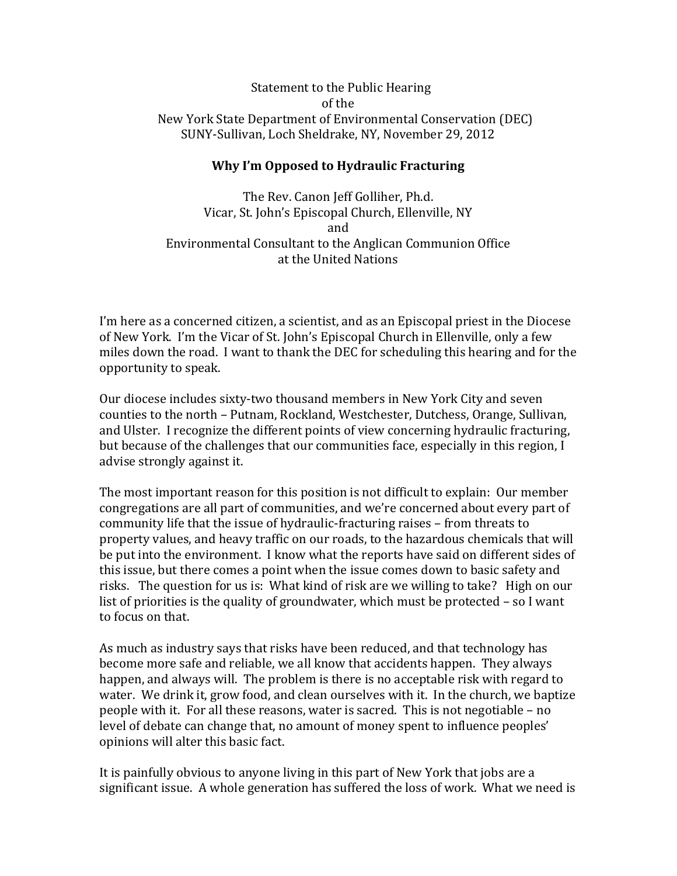## Statement to the Public Hearing of the New York State Department of Environmental Conservation (DEC) SUNY‐Sullivan, Loch Sheldrake, NY, November 29, 2012

## **Why I'm Opposed to Hydraulic Fracturing**

The Rev. Canon Jeff Golliher, Ph.d. Vicar, St. John's Episcopal Church, Ellenville, NY and Environmental Consultant to the Anglican Communion Office at the United Nations

I'm here as a concerned citizen, a scientist, and as an Episcopal priest in the Diocese of New York. I'm the Vicar of St. John's Episcopal Church in Ellenville, only a few miles down the road. I want to thank the DEC for scheduling this hearing and for the opportunity to speak.

Our diocese includes sixty‐two thousand members in New York City and seven counties to the north – Putnam, Rockland, Westchester, Dutchess, Orange, Sullivan, and Ulster. I recognize the different points of view concerning hydraulic fracturing, but because of the challenges that our communities face, especially in this region, I advise strongly against it.

The most important reason for this position is not difficult to explain: Our member congregations are all part of communities, and we're concerned about every part of community life that the issue of hydraulic‐fracturing raises – from threats to property values, and heavy traffic on our roads, to the hazardous chemicals that will be put into the environment. I know what the reports have said on different sides of this issue, but there comes a point when the issue comes down to basic safety and risks. The question for us is: What kind of risk are we willing to take? High on our list of priorities is the quality of groundwater, which must be protected – so I want to focus on that.

As much as industry says that risks have been reduced, and that technology has become more safe and reliable, we all know that accidents happen. They always happen, and always will. The problem is there is no acceptable risk with regard to water. We drink it, grow food, and clean ourselves with it. In the church, we baptize people with it. For all these reasons, water is sacred. This is not negotiable – no level of debate can change that, no amount of money spent to influence peoples' opinions will alter this basic fact.

It is painfully obvious to anyone living in this part of New York that jobs are a significant issue. A whole generation has suffered the loss of work. What we need is